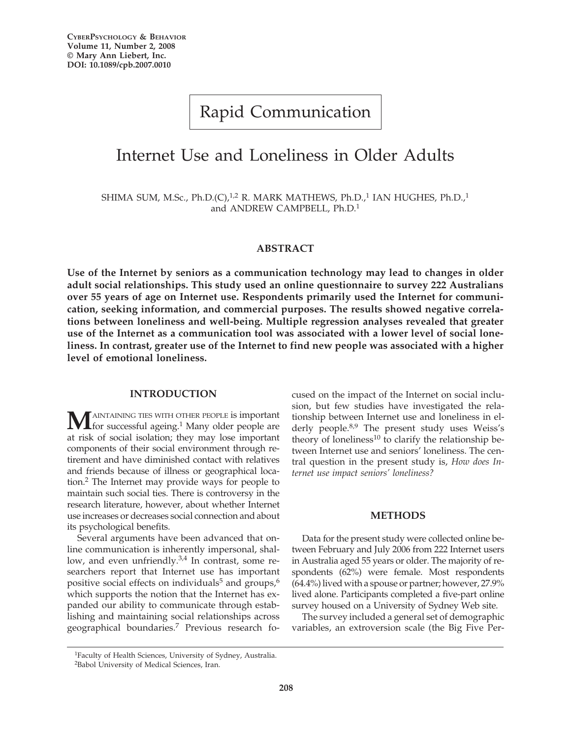# Rapid Communication

## Internet Use and Loneliness in Older Adults

SHIMA SUM, M.Sc., Ph.D.(C), $^{1,2}$  R. MARK MATHEWS, Ph.D.,<sup>1</sup> IAN HUGHES, Ph.D.,<sup>1</sup> and ANDREW CAMPBELL, Ph.D.1

### **ABSTRACT**

**Use of the Internet by seniors as a communication technology may lead to changes in older adult social relationships. This study used an online questionnaire to survey 222 Australians over 55 years of age on Internet use. Respondents primarily used the Internet for communication, seeking information, and commercial purposes. The results showed negative correlations between loneliness and well-being. Multiple regression analyses revealed that greater use of the Internet as a communication tool was associated with a lower level of social loneliness. In contrast, greater use of the Internet to find new people was associated with a higher level of emotional loneliness.** 

## **INTRODUCTION**

**MAINTAINING THES WITH OTHER PEOPLE IS important** for successful ageing.<sup>1</sup> Many older people are at risk of social isolation; they may lose important components of their social environment through retirement and have diminished contact with relatives and friends because of illness or geographical location.2 The Internet may provide ways for people to maintain such social ties. There is controversy in the research literature, however, about whether Internet use increases or decreases social connection and about its psychological benefits.

Several arguments have been advanced that online communication is inherently impersonal, shallow, and even unfriendly.<sup>3,4</sup> In contrast, some researchers report that Internet use has important positive social effects on individuals<sup>5</sup> and groups, $6\%$ which supports the notion that the Internet has expanded our ability to communicate through establishing and maintaining social relationships across geographical boundaries.7 Previous research focused on the impact of the Internet on social inclusion, but few studies have investigated the relationship between Internet use and loneliness in elderly people.<sup>8,9</sup> The present study uses Weiss's theory of loneliness $^{10}$  to clarify the relationship between Internet use and seniors' loneliness. The central question in the present study is, *How does Internet use impact seniors' loneliness?*

#### **METHODS**

Data for the present study were collected online between February and July 2006 from 222 Internet users in Australia aged 55 years or older. The majority of respondents (62%) were female. Most respondents (64.4%) lived with a spouse or partner; however, 27.9% lived alone. Participants completed a five-part online survey housed on a University of Sydney Web site.

The survey included a general set of demographic variables, an extroversion scale (the Big Five Per-

<sup>1</sup>Faculty of Health Sciences, University of Sydney, Australia. 2Babol University of Medical Sciences, Iran.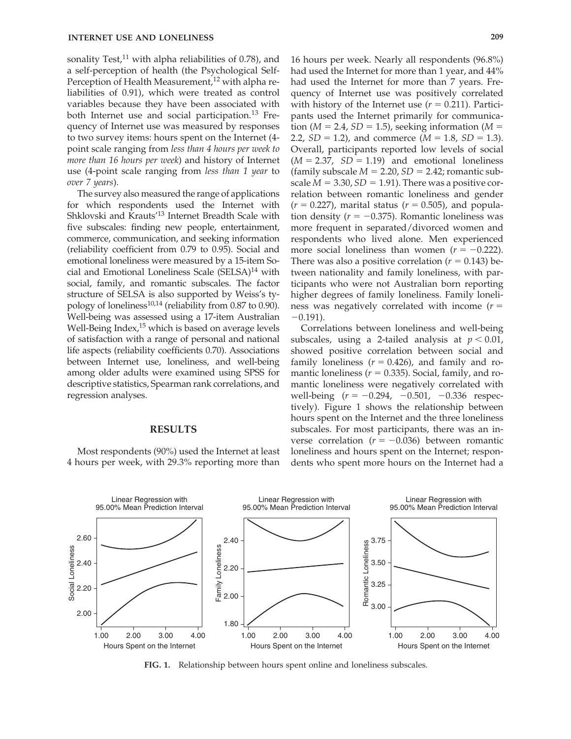sonality Test,<sup>11</sup> with alpha reliabilities of 0.78), and a self-perception of health (the Psychological Self-Perception of Health Measurement,<sup>12</sup> with alpha reliabilities of 0.91), which were treated as control variables because they have been associated with both Internet use and social participation.<sup>13</sup> Frequency of Internet use was measured by responses to two survey items: hours spent on the Internet (4 point scale ranging from *less than 4 hours per week to more than 16 hours per week*) and history of Internet use (4-point scale ranging from *less than 1 year* to *over 7 years*).

The survey also measured the range of applications for which respondents used the Internet with Shklovski and Krauts'13 Internet Breadth Scale with five subscales: finding new people, entertainment, commerce, communication, and seeking information (reliability coefficient from 0.79 to 0.95). Social and emotional loneliness were measured by a 15-item Social and Emotional Loneliness Scale (SELSA)<sup>14</sup> with social, family, and romantic subscales. The factor structure of SELSA is also supported by Weiss's typology of loneliness<sup>10,14</sup> (reliability from 0.87 to 0.90). Well-being was assessed using a 17-item Australian Well-Being Index,<sup>15</sup> which is based on average levels of satisfaction with a range of personal and national life aspects (reliability coefficients 0.70). Associations between Internet use, loneliness, and well-being among older adults were examined using SPSS for descriptive statistics, Spearman rank correlations, and regression analyses.

#### **RESULTS**

Most respondents (90%) used the Internet at least 4 hours per week, with 29.3% reporting more than

16 hours per week. Nearly all respondents (96.8%) had used the Internet for more than 1 year, and 44% had used the Internet for more than 7 years. Frequency of Internet use was positively correlated with history of the Internet use  $(r = 0.211)$ . Participants used the Internet primarily for communica- $\text{tion } (M = 2.4, SD = 1.5)$ , seeking information ( $M =$ 2.2,  $SD = 1.2$ ), and commerce ( $M = 1.8$ ,  $SD = 1.3$ ). Overall, participants reported low levels of social  $(M = 2.37, SD = 1.19)$  and emotional loneliness  $(\text{family subscale } M = 2.20, SD = 2.42; \text{romatic sub-}$ scale  $M = 3.30$ ,  $SD = 1.91$ ). There was a positive correlation between romantic loneliness and gender  $(r = 0.227)$ , marital status  $(r = 0.505)$ , and population density  $(r = -0.375)$ . Romantic loneliness was more frequent in separated/divorced women and respondents who lived alone. Men experienced more social loneliness than women  $(r = -0.222)$ . There was also a positive correlation  $(r = 0.143)$  between nationality and family loneliness, with participants who were not Australian born reporting higher degrees of family loneliness. Family loneliness was negatively correlated with income  $(r =$  $-0.191$ ).

Correlations between loneliness and well-being subscales, using a 2-tailed analysis at  $p < 0.01$ , showed positive correlation between social and family loneliness  $(r = 0.426)$ , and family and romantic loneliness  $(r = 0.335)$ . Social, family, and romantic loneliness were negatively correlated with well-being  $(r = -0.294, -0.501, -0.336$  respectively). Figure 1 shows the relationship between hours spent on the Internet and the three loneliness subscales. For most participants, there was an inverse correlation  $(r = -0.036)$  between romantic loneliness and hours spent on the Internet; respondents who spent more hours on the Internet had a



**FIG. 1.** Relationship between hours spent online and loneliness subscales.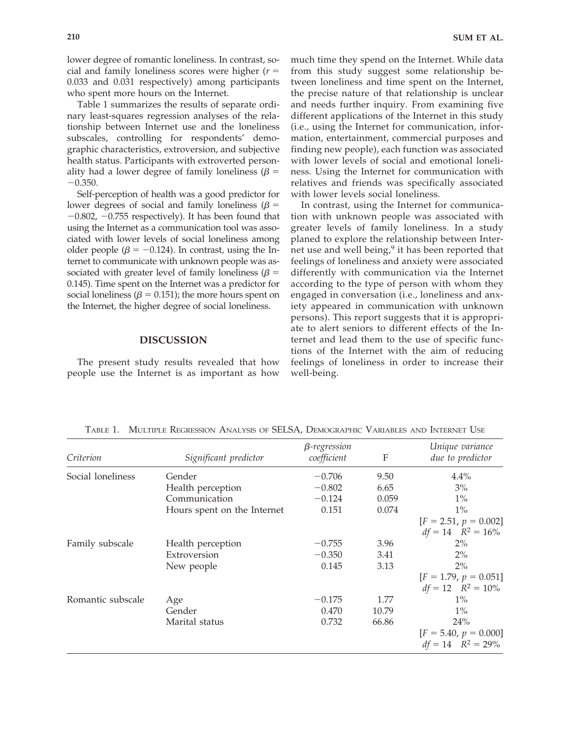lower degree of romantic loneliness. In contrast, social and family loneliness scores were higher  $(r =$ 0.033 and 0.031 respectively) among participants who spent more hours on the Internet.

Table 1 summarizes the results of separate ordinary least-squares regression analyses of the relationship between Internet use and the loneliness subscales, controlling for respondents' demographic characteristics, extroversion, and subjective health status. Participants with extroverted personality had a lower degree of family loneliness  $(\beta =$  $-0.350.$ 

Self-perception of health was a good predictor for lower degrees of social and family loneliness ( $\beta$  =  $-0.802$ ,  $-0.755$  respectively). It has been found that using the Internet as a communication tool was associated with lower levels of social loneliness among older people ( $\beta = -0.124$ ). In contrast, using the Internet to communicate with unknown people was associated with greater level of family loneliness  $(\beta =$ 0.145). Time spent on the Internet was a predictor for social loneliness ( $\beta = 0.151$ ); the more hours spent on the Internet, the higher degree of social loneliness.

#### **DISCUSSION**

The present study results revealed that how people use the Internet is as important as how much time they spend on the Internet. While data from this study suggest some relationship between loneliness and time spent on the Internet, the precise nature of that relationship is unclear and needs further inquiry. From examining five different applications of the Internet in this study (i.e., using the Internet for communication, information, entertainment, commercial purposes and finding new people), each function was associated with lower levels of social and emotional loneliness. Using the Internet for communication with relatives and friends was specifically associated with lower levels social loneliness.

In contrast, using the Internet for communication with unknown people was associated with greater levels of family loneliness. In a study planed to explore the relationship between Internet use and well being, $9$  it has been reported that feelings of loneliness and anxiety were associated differently with communication via the Internet according to the type of person with whom they engaged in conversation (i.e., loneliness and anxiety appeared in communication with unknown persons). This report suggests that it is appropriate to alert seniors to different effects of the Internet and lead them to the use of specific functions of the Internet with the aim of reducing feelings of loneliness in order to increase their well-being.

| Criterion         | Significant predictor       | $\beta$ -regression<br>coefficient | F     | Unique variance<br>due to predictor               |
|-------------------|-----------------------------|------------------------------------|-------|---------------------------------------------------|
| Social loneliness | Gender                      | $-0.706$                           | 9.50  | 4.4%                                              |
|                   | Health perception           | $-0.802$                           | 6.65  | $3\%$                                             |
|                   | Communication               | $-0.124$                           | 0.059 | $1\%$                                             |
|                   | Hours spent on the Internet | 0.151                              | 0.074 | $1\%$                                             |
|                   |                             |                                    |       | $[F = 2.51, p = 0.002]$<br>$df = 14$ $R^2 = 16\%$ |
| Family subscale   | Health perception           | $-0.755$                           | 3.96  | $2\%$                                             |
|                   | Extroversion                | $-0.350$                           | 3.41  | $2\%$                                             |
|                   | New people                  | 0.145                              | 3.13  | $2\%$                                             |
|                   |                             |                                    |       | $[F = 1.79, p = 0.051]$<br>$df = 12$ $R^2 = 10\%$ |
| Romantic subscale | Age                         | $-0.175$                           | 1.77  | $1\%$                                             |
|                   | Gender                      | 0.470                              | 10.79 | $1\%$                                             |
|                   | Marital status              | 0.732                              | 66.86 | 24%                                               |
|                   |                             |                                    |       | $[F = 5.40, p = 0.000]$<br>$df = 14$ $R^2 = 29\%$ |

TABLE 1. MULTIPLE REGRESSION ANALYSIS OF SELSA, DEMOGRAPHIC VARIABLES AND INTERNET USE